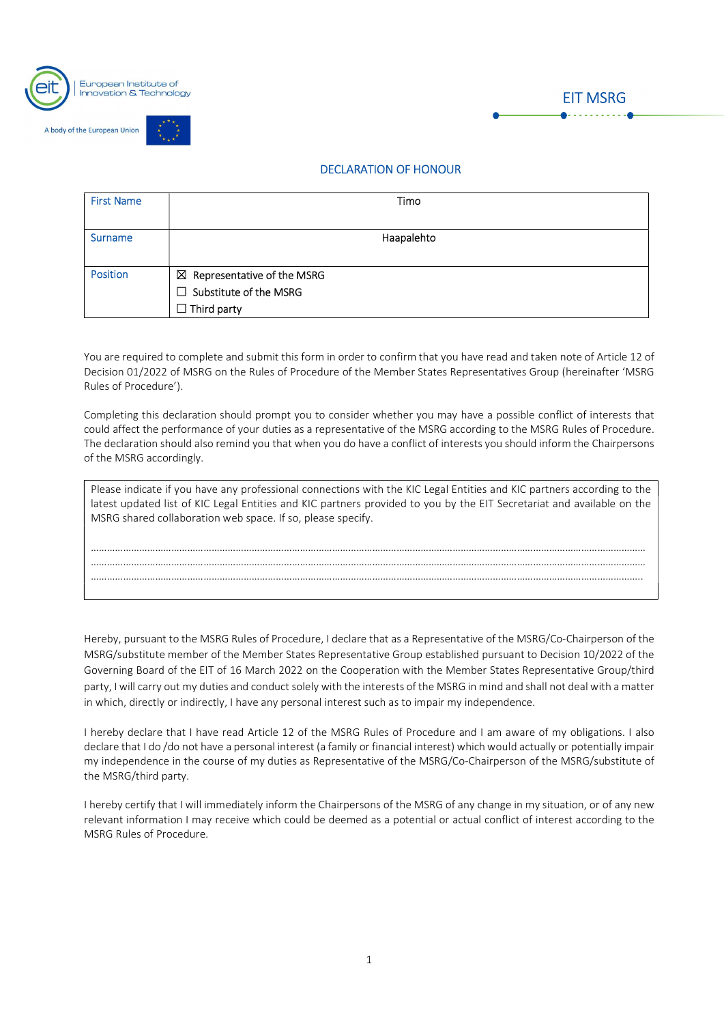

A body of the European Union



| <b>First Name</b> | Timo                                                                                          |
|-------------------|-----------------------------------------------------------------------------------------------|
| <b>Surname</b>    | Haapalehto                                                                                    |
| <b>Position</b>   | $\boxtimes$ Representative of the MSRG<br>$\Box$ Substitute of the MSRG<br>$\Box$ Third party |

 You are required to complete and submit this form in order to confirm that you have read and taken note of Article 12 of Decision 01/2022 of MSRG on the Rules of Procedure of the Member States Representatives Group (hereinafter 'MSRG Rules of Procedure').

Completing this declaration should prompt you to consider whether you may have a possible conflict of interests that could affect the performance of your duties as a representative of the MSRG according to the MSRG Rules of Procedure. The declaration should also remind you that when you do have a conflict of interests you should inform the Chairpersons of the MSRG accordingly.

| Please indicate if you have any professional connections with the KIC Legal Entities and KIC partners according to the<br>latest updated list of KIC Legal Entities and KIC partners provided to you by the EIT Secretariat and available on the<br>MSRG shared collaboration web space. If so, please specify. |
|-----------------------------------------------------------------------------------------------------------------------------------------------------------------------------------------------------------------------------------------------------------------------------------------------------------------|
|                                                                                                                                                                                                                                                                                                                 |
|                                                                                                                                                                                                                                                                                                                 |

…………………………………………………………………………………………………………………………………………………………………………………….. Hereby, pursuant to the MSRG Rules of Procedure, I declare that as a Representative of the MSRG/Co-Chairperson of the MSRG/substitute member of the Member States Representative Group established pursuant to Decision 10/2022 of the Governing Board of the EIT of 16 March 2022 on the Cooperation with the Member States Representative Group/third party, I will carry out my duties and conduct solely with the interests of the MSRG in mind and shall not deal with a matter in which, directly or indirectly, I have any personal interest such as to impair my independence.

I hereby declare that I have read Article 12 of the MSRG Rules of Procedure and I am aware of my obligations. I also declare that I do /do not have a personal interest (a family or financial interest) which would actually or potentially impair my independence in the course of my duties as Representative of the MSRG/Co-Chairperson of the MSRG/substitute of

the MSRG/third party.<br>I hereby certify that I will immediately inform the Chairpersons of the MSRG of any change in my situation, or of any new relevant information I may receive which could be deemed as a potential or actual conflict of interest according to the MSRG Rules of Procedure.